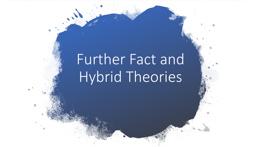# Further Fact and Hybrid Theories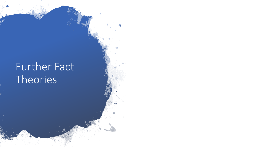## Further Fact Theories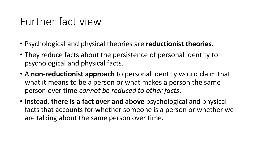- Psychological and physical theories are **reductionist theories**.
- They reduce facts about the persistence of personal identity to psychological and physical facts.
- A **non-reductionist approach** to personal identity would claim that what it means to be a person or what makes a person the same person over time *cannot be reduced to other facts*.
- Instead, **there is a fact over and above** psychological and physical facts that accounts for whether someone is a person or whether we are talking about the same person over time.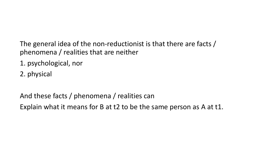The general idea of the non-reductionist is that there are facts / phenomena / realities that are neither

- 1. psychological, nor
- 2. physical

And these facts / phenomena / realities can

Explain what it means for B at t2 to be the same person as A at t1.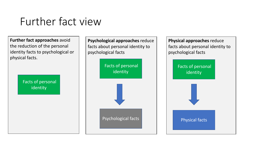**Further fact approaches** avoid the reduction of the personal identity facts to psychological or physical facts.

> Facts of personal identity



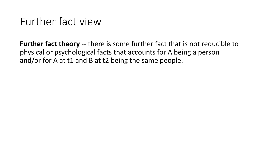**Further fact theory** -- there is some further fact that is not reducible to physical or psychological facts that accounts for A being a person and/or for A at t1 and B at t2 being the same people.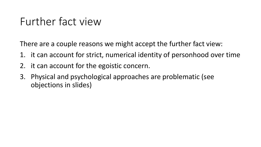There are a couple reasons we might accept the further fact view:

- 1. it can account for strict, numerical identity of personhood over time
- 2. it can account for the egoistic concern.
- 3. Physical and psychological approaches are problematic (see objections in slides)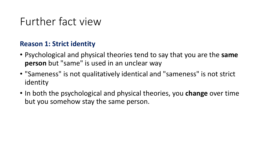#### **Reason 1: Strict identity**

- Psychological and physical theories tend to say that you are the **same person** but "same" is used in an unclear way
- "Sameness" is not qualitatively identical and "sameness" is not strict identity
- In both the psychological and physical theories, you **change** over time but you somehow stay the same person.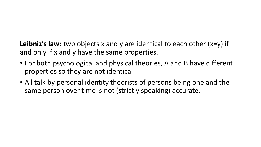**Leibniz's law:** two objects x and y are identical to each other (x=y) if and only if x and y have the same properties.

- For both psychological and physical theories, A and B have different properties so they are not identical
- All talk by personal identity theorists of persons being one and the same person over time is not (strictly speaking) accurate.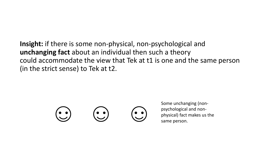#### **Insight:** if there is some non-physical, non-psychological and **unchanging fact** about an individual then such a theory could accommodate the view that Tek at t1 is one and the same person (in the strict sense) to Tek at t2.



Some unchanging (nonpsychological and nonphysical) fact makes us the same person.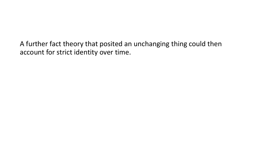A further fact theory that posited an unchanging thing could then account for strict identity over time.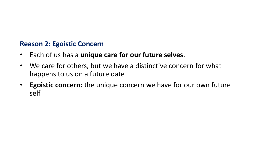#### **Reason 2: Egoistic Concern**

- Each of us has a **unique care for our future selves**.
- We care for others, but we have a distinctive concern for what happens to us on a future date
- **Egoistic concern:** the unique concern we have for our own future self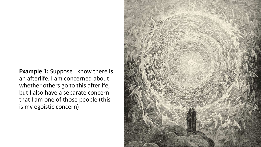**Example 1:** Suppose I know there is an afterlife. I am concerned about whether others go to this afterlife, but I also have a separate concern that I am one of those people (this is my egoistic concern)

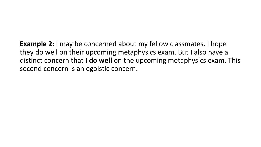**Example 2:** I may be concerned about my fellow classmates. I hope they do well on their upcoming metaphysics exam. But I also have a distinct concern that **I do well** on the upcoming metaphysics exam. This second concern is an egoistic concern.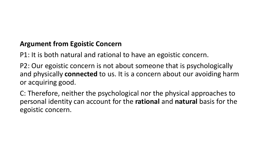#### **Argument from Egoistic Concern**

P1: It is both natural and rational to have an egoistic concern.

P2: Our egoistic concern is not about someone that is psychologically and physically **connected** to us. It is a concern about our avoiding harm or acquiring good.

C: Therefore, neither the psychological nor the physical approaches to personal identity can account for the **rational** and **natural** basis for the egoistic concern.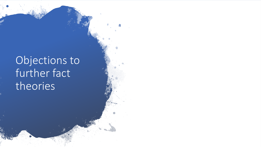## Objections to further fact theories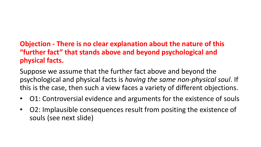#### **Objection - There is no clear explanation about the nature of this "further fact" that stands above and beyond psychological and physical facts.**

Suppose we assume that the further fact above and beyond the psychological and physical facts is *having the same non-physical soul*. If this is the case, then such a view faces a variety of different objections.

- O1: Controversial evidence and arguments for the existence of souls
- O2: Implausible consequences result from positing the existence of souls (see next slide)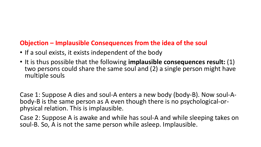#### **Objection – Implausible Consequences from the idea of the soul**

- If a soul exists, it exists independent of the body
- It is thus possible that the following **implausible consequences result:** (1) two persons could share the same soul and (2) a single person might have multiple souls

Case 1: Suppose A dies and soul-A enters a new body (body-B). Now soul-A-<br>body-B is the same person as A even though there is no psychological-or-<br>physical relation. This is implausible.

Case 2: Suppose A is awake and while has soul-A and while sleeping takes on soul-B. So, A is not the same person while asleep. Implausible.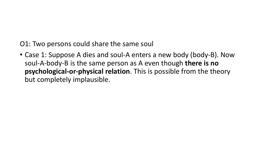O1: Two persons could share the same soul

• Case 1: Suppose A dies and soul-A enters a new body (body-B). Now soul-A-body-B is the same person as A even though **there is no psychological-or-physical relation**. This is possible from the theory but completely implausible.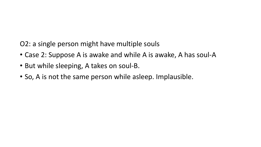O2: a single person might have multiple souls

- Case 2: Suppose A is awake and while A is awake, A has soul-A
- But while sleeping, A takes on soul-B.
- So, A is not the same person while asleep. Implausible.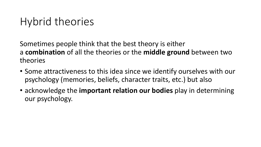Sometimes people think that the best theory is either a **combination** of all the theories or the **middle ground** between two theories

- Some attractiveness to this idea since we identify ourselves with our psychology (memories, beliefs, character traits, etc.) but also
- acknowledge the **important relation our bodies** play in determining our psychology.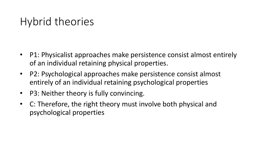- P1: Physicalist approaches make persistence consist almost entirely of an individual retaining physical properties.
- P2: Psychological approaches make persistence consist almost entirely of an individual retaining psychological properties
- P3: Neither theory is fully convincing.
- C: Therefore, the right theory must involve both physical and psychological properties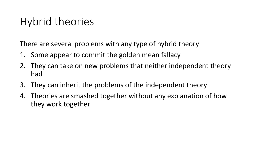There are several problems with any type of hybrid theory

- 1. Some appear to commit the golden mean fallacy
- 2. They can take on new problems that neither independent theory had
- 3. They can inherit the problems of the independent theory
- 4. Theories are smashed together without any explanation of how they work together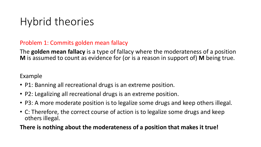#### Problem 1: Commits golden mean fallacy

The **golden mean fallacy** is a type of fallacy where the moderateness of a position **M** is assumed to count as evidence for (or is a reason in support of) **M** being true.

Example

- P1: Banning all recreational drugs is an extreme position.
- P2: Legalizing all recreational drugs is an extreme position.
- P3: A more moderate position is to legalize some drugs and keep others illegal.
- C: Therefore, the correct course of action is to legalize some drugs and keep others illegal.

#### **There is nothing about the moderateness of a position that makes it true!**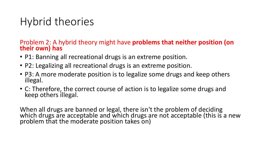## Problem 2: A hybrid theory might have **problems that neither position (on their own) has**

- P1: Banning all recreational drugs is an extreme position.
- P2: Legalizing all recreational drugs is an extreme position.
- P3: A more moderate position is to legalize some drugs and keep others illegal.
- C: Therefore, the correct course of action is to legalize some drugs and keep others illegal.

When all drugs are banned or legal, there isn't the problem of deciding which drugs are acceptable and which drugs are not acceptable (this is a new problem that the moderate position takes on)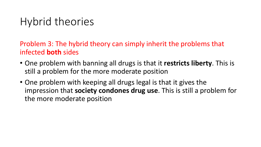Problem 3: The hybrid theory can simply inherit the problems that infected **both** sides

- One problem with banning all drugs is that it **restricts liberty**. This is still a problem for the more moderate position
- One problem with keeping all drugs legal is that it gives the impression that **society condones drug use**. This is still a problem for the more moderate position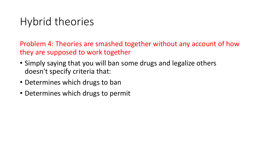Problem 4: Theories are smashed together without any account of how they are supposed to work together

- Simply saying that you will ban some drugs and legalize others doesn't specify criteria that:
- Determines which drugs to ban
- Determines which drugs to permit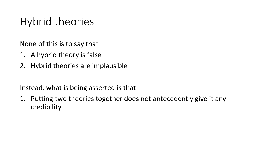None of this is to say that

- 1. A hybrid theory is false
- 2. Hybrid theories are implausible

Instead, what is being asserted is that:

1. Putting two theories together does not antecedently give it any credibility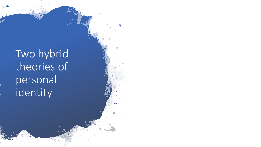Two hybrid theories of personal identity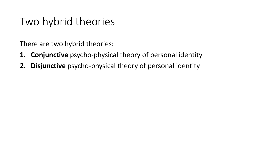There are two hybrid theories:

- **1. Conjunctive** psycho-physical theory of personal identity
- **2. Disjunctive** psycho-physical theory of personal identity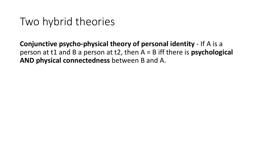**Conjunctive psycho-physical theory of personal identity** - If A is a person at t1 and B a person at t2, then A = B iff there is **psychological AND physical connectedness** between B and A.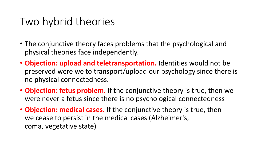- The conjunctive theory faces problems that the psychological and physical theories face independently.
- **Objection: upload and teletransportation.** Identities would not be preserved were we to transport/upload our psychology since there is no physical connectedness.
- **Objection: fetus problem.** If the conjunctive theory is true, then we were never a fetus since there is no psychological connectedness
- **Objection: medical cases.** If the conjunctive theory is true, then we cease to persist in the medical cases (Alzheimer's, coma, vegetative state)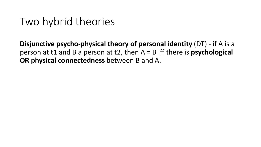**Disjunctive psycho-physical theory of personal identity** (DT) - if A is a person at t1 and B a person at t2, then A = B iff there is **psychological OR physical connectedness** between B and A.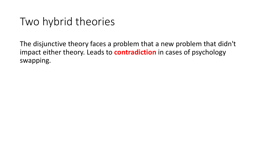The disjunctive theory faces a problem that a new problem that didn't impact either theory. Leads to **contradiction** in cases of psychology swapping.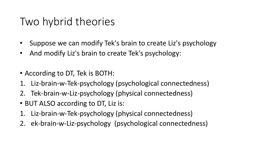- Suppose we can modify Tek's brain to create Liz's psychology
- And modify Liz's brain to create Tek's psychology:
- According to DT, Tek is BOTH:
- 1. Liz-brain-w-Tek-psychology (psychological connectedness)
- 2. Tek-brain-w-Liz-psychology (physical connectedness)
- BUT ALSO according to DT, Liz is:
- 1. Liz-brain-w-Tek-psychology (physical connectedness)
- 2. ek-brain-w-Liz-psychology (psychological connectedness)